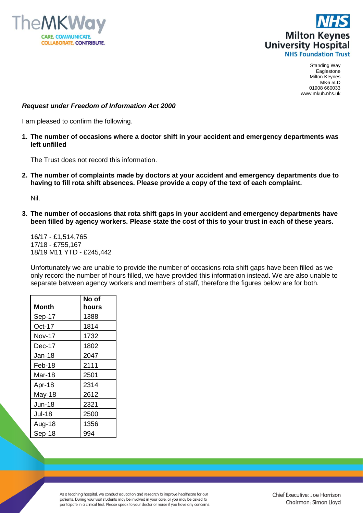



Standing Way Eaglestone Milton Keynes MK6 5LD 01908 660033 www.mkuh.nhs.uk

## *Request under Freedom of Information Act 2000*

I am pleased to confirm the following.

**1. The number of occasions where a doctor shift in your accident and emergency departments was left unfilled**

The Trust does not record this information.

**2. The number of complaints made by doctors at your accident and emergency departments due to having to fill rota shift absences. Please provide a copy of the text of each complaint.**

Nil.

**3. The number of occasions that rota shift gaps in your accident and emergency departments have been filled by agency workers. Please state the cost of this to your trust in each of these years.**

16/17 - £1,514,765 17/18 - £755,167 18/19 M11 YTD - £245,442

Unfortunately we are unable to provide the number of occasions rota shift gaps have been filled as we only record the number of hours filled, we have provided this information instead. We are also unable to separate between agency workers and members of staff, therefore the figures below are for both.

|               | No of |
|---------------|-------|
| Month         | hours |
| Sep-17        | 1388  |
| Oct-17        | 1814  |
| Nov-17        | 1732  |
| Dec-17        | 1802  |
| Jan-18        | 2047  |
| Feb-18        | 2111  |
| Mar-18        | 2501  |
| Apr-18        | 2314  |
| May-18        | 2612  |
| <b>Jun-18</b> | 2321  |
| <b>Jul-18</b> | 2500  |
| Aug-18        | 1356  |
| Sep-18        | 994   |

As a teaching hospital, we conduct education and research to improve healthcare for our patients. During your visit students may be involved in your care, or you may be asked to participate in a clinical trial. Please speak to your doctor or nurse if you have any concerns.